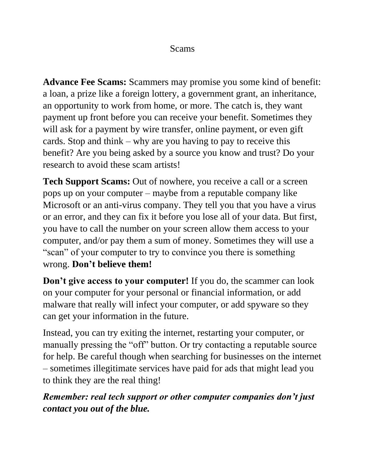#### Scams

**Advance Fee Scams:** Scammers may promise you some kind of benefit: a loan, a prize like a foreign lottery, a government grant, an inheritance, an opportunity to work from home, or more. The catch is, they want payment up front before you can receive your benefit. Sometimes they will ask for a payment by wire transfer, online payment, or even gift cards. Stop and think – why are you having to pay to receive this benefit? Are you being asked by a source you know and trust? Do your research to avoid these scam artists!

**Tech Support Scams:** Out of nowhere, you receive a call or a screen pops up on your computer – maybe from a reputable company like Microsoft or an anti-virus company. They tell you that you have a virus or an error, and they can fix it before you lose all of your data. But first, you have to call the number on your screen allow them access to your computer, and/or pay them a sum of money. Sometimes they will use a "scan" of your computer to try to convince you there is something wrong. **Don't believe them!**

**Don't give access to your computer!** If you do, the scammer can look on your computer for your personal or financial information, or add malware that really will infect your computer, or add spyware so they can get your information in the future.

Instead, you can try exiting the internet, restarting your computer, or manually pressing the "off" button. Or try contacting a reputable source for help. Be careful though when searching for businesses on the internet – sometimes illegitimate services have paid for ads that might lead you to think they are the real thing!

### *Remember: real tech support or other computer companies don't just contact you out of the blue.*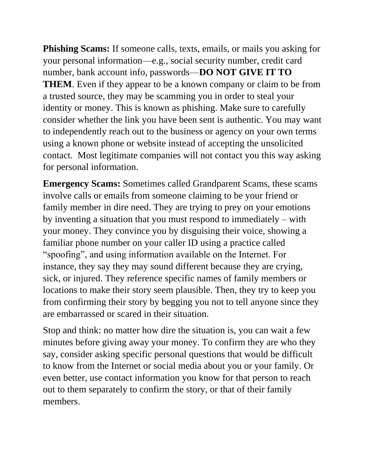**Phishing Scams:** If someone calls, texts, emails, or mails you asking for your personal information—e.g., social security number, credit card number, bank account info, passwords—**DO NOT GIVE IT TO THEM**. Even if they appear to be a known company or claim to be from a trusted source, they may be scamming you in order to steal your identity or money. This is known as phishing. Make sure to carefully consider whether the link you have been sent is authentic. You may want to independently reach out to the business or agency on your own terms using a known phone or website instead of accepting the unsolicited contact. Most legitimate companies will not contact you this way asking for personal information.

**Emergency Scams:** Sometimes called Grandparent Scams, these scams involve calls or emails from someone claiming to be your friend or family member in dire need. They are trying to prey on your emotions by inventing a situation that you must respond to immediately – with your money. They convince you by disguising their voice, showing a familiar phone number on your caller ID using a practice called "spoofing", and using information available on the Internet. For instance, they say they may sound different because they are crying, sick, or injured. They reference specific names of family members or locations to make their story seem plausible. Then, they try to keep you from confirming their story by begging you not to tell anyone since they are embarrassed or scared in their situation.

Stop and think: no matter how dire the situation is, you can wait a few minutes before giving away your money. To confirm they are who they say, consider asking specific personal questions that would be difficult to know from the Internet or social media about you or your family. Or even better, use contact information you know for that person to reach out to them separately to confirm the story, or that of their family members.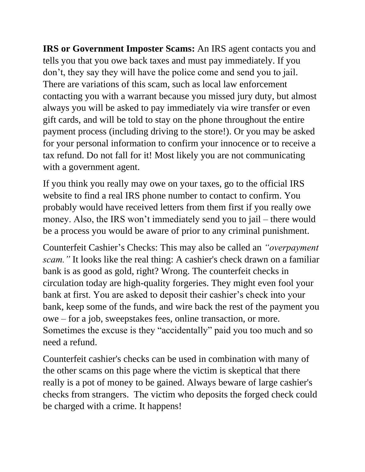**IRS or Government Imposter Scams:** An IRS agent contacts you and tells you that you owe back taxes and must pay immediately. If you don't, they say they will have the police come and send you to jail. There are variations of this scam, such as local law enforcement contacting you with a warrant because you missed jury duty, but almost always you will be asked to pay immediately via wire transfer or even gift cards, and will be told to stay on the phone throughout the entire payment process (including driving to the store!). Or you may be asked for your personal information to confirm your innocence or to receive a tax refund. Do not fall for it! Most likely you are not communicating with a government agent.

If you think you really may owe on your taxes, go to the official IRS website to find a real IRS phone number to contact to confirm. You probably would have received letters from them first if you really owe money. Also, the IRS won't immediately send you to jail – there would be a process you would be aware of prior to any criminal punishment.

Counterfeit Cashier's Checks: This may also be called an *"overpayment scam."* It looks like the real thing: A cashier's check drawn on a familiar bank is as good as gold, right? Wrong. The counterfeit checks in circulation today are high-quality forgeries. They might even fool your bank at first. You are asked to deposit their cashier's check into your bank, keep some of the funds, and wire back the rest of the payment you owe – for a job, sweepstakes fees, online transaction, or more. Sometimes the excuse is they "accidentally" paid you too much and so need a refund.

Counterfeit cashier's checks can be used in combination with many of the other scams on this page where the victim is skeptical that there really is a pot of money to be gained. Always beware of large cashier's checks from strangers. The victim who deposits the forged check could be charged with a crime. It happens!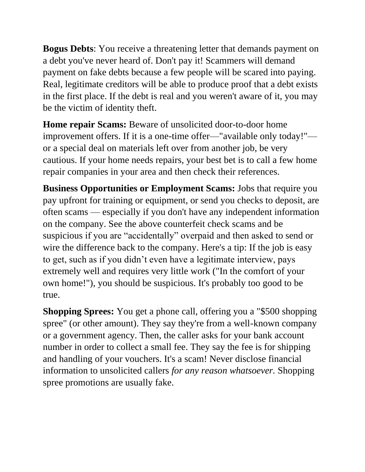**Bogus Debts**: You receive a threatening letter that demands payment on a debt you've never heard of. Don't pay it! Scammers will demand payment on fake debts because a few people will be scared into paying. Real, legitimate creditors will be able to produce proof that a debt exists in the first place. If the debt is real and you weren't aware of it, you may be the victim of identity theft.

**Home repair Scams:** Beware of unsolicited door-to-door home improvement offers. If it is a one-time offer—"available only today!" or a special deal on materials left over from another job, be very cautious. If your home needs repairs, your best bet is to call a few home repair companies in your area and then check their references.

**Business Opportunities or Employment Scams:** Jobs that require you pay upfront for training or equipment, or send you checks to deposit, are often scams — especially if you don't have any independent information on the company. See the above counterfeit check scams and be suspicious if you are "accidentally" overpaid and then asked to send or wire the difference back to the company. Here's a tip: If the job is easy to get, such as if you didn't even have a legitimate interview, pays extremely well and requires very little work ("In the comfort of your own home!"), you should be suspicious. It's probably too good to be true.

**Shopping Sprees:** You get a phone call, offering you a "\$500 shopping spree" (or other amount). They say they're from a well-known company or a government agency. Then, the caller asks for your bank account number in order to collect a small fee. They say the fee is for shipping and handling of your vouchers. It's a scam! Never disclose financial information to unsolicited callers *for any reason whatsoever.* Shopping spree promotions are usually fake.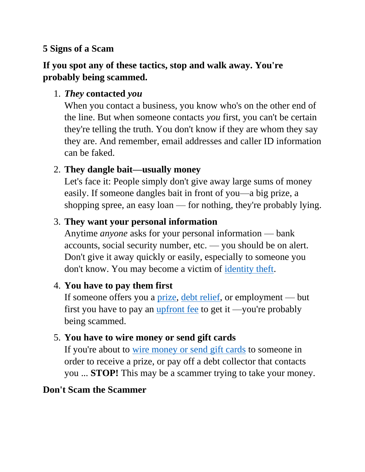#### **5 Signs of a Scam**

# **If you spot any of these tactics, stop and walk away. You're probably being scammed.**

# 1. *They* **contacted** *you*

When you contact a business, you know who's on the other end of the line. But when someone contacts *you* first, you can't be certain they're telling the truth. You don't know if they are whom they say they are. And remember, email addresses and caller ID information can be faked.

# 2. **They dangle bait—usually money**

Let's face it: People simply don't give away large sums of money easily. If someone dangles bait in front of you—a big prize, a shopping spree, an easy loan — for nothing, they're probably lying.

### 3. **They want your personal information**

Anytime *anyone* asks for your personal information — bank accounts, social security number, etc. — you should be on alert. Don't give it away quickly or easily, especially to someone you don't know. You may become a victim of [identity theft.](https://www.texasattorneygeneral.gov/consumer-protection/identity-theft)

#### 4. **You have to pay them first**

If someone offers you a [prize,](https://www.texasattorneygeneral.gov/consumer-protection/financial-and-insurance-scams/lotteries-sweepstakes) [debt relief,](https://www.texasattorneygeneral.gov/consumer-protection/financial-and-insurance-scams/debt-collection-and-relief/debt-relief-and-debt-relief-scams) or employment — but first you have to pay an [upfront fee](https://www.texasattorneygeneral.gov/consumer-protection/financial-and-insurance-scams/cash-advance-and-advance-fee-scams) to get it —you're probably being scammed.

# 5. **You have to wire money or send gift cards**

If you're about to [wire money or send gift cards](https://www.texasattorneygeneral.gov/consumer-protection/financial-and-insurance-scams/wire-transfer-scams) to someone in order to receive a prize, or pay off a debt collector that contacts you ... **STOP!** This may be a scammer trying to take your money.

# **Don't Scam the Scammer**